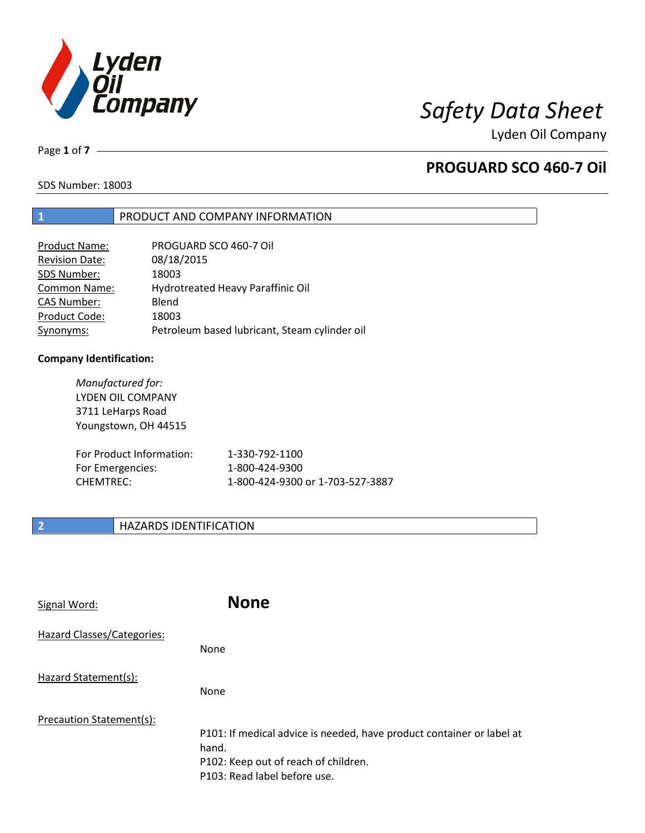

Lyden Oil Company

Page **1** of **7**

# **PROGUARD SCO 460-7 Oil**

SDS Number: 18003

### **1** PRODUCT AND COMPANY INFORMATION

| Product Name:         | PROGUARD SCO 460-7 Oil                        |
|-----------------------|-----------------------------------------------|
| <b>Revision Date:</b> | 08/18/2015                                    |
| SDS Number:           | 18003                                         |
| <b>Common Name:</b>   | Hydrotreated Heavy Paraffinic Oil             |
| <b>CAS Number:</b>    | Blend                                         |
| Product Code:         | 18003                                         |
| Synonyms:             | Petroleum based lubricant, Steam cylinder oil |

### **Company Identification:**

| Manufactured for:<br>LYDEN OIL COMPANY<br>3711 LeHarps Road<br>Youngstown, OH 44515 |                                  |
|-------------------------------------------------------------------------------------|----------------------------------|
| For Product Information:                                                            | 1-330-792-1100                   |
| For Emergencies:                                                                    | 1-800-424-9300                   |
| <b>CHEMTREC:</b>                                                                    | 1-800-424-9300 or 1-703-527-3887 |

### **2 HAZARDS IDENTIFICATION**

| Signal Word:               | <b>None</b>                                                                                                                                            |
|----------------------------|--------------------------------------------------------------------------------------------------------------------------------------------------------|
| Hazard Classes/Categories: | None                                                                                                                                                   |
| Hazard Statement(s):       | None                                                                                                                                                   |
| Precaution Statement(s):   | P101: If medical advice is needed, have product container or label at<br>hand.<br>P102: Keep out of reach of children.<br>P103: Read label before use. |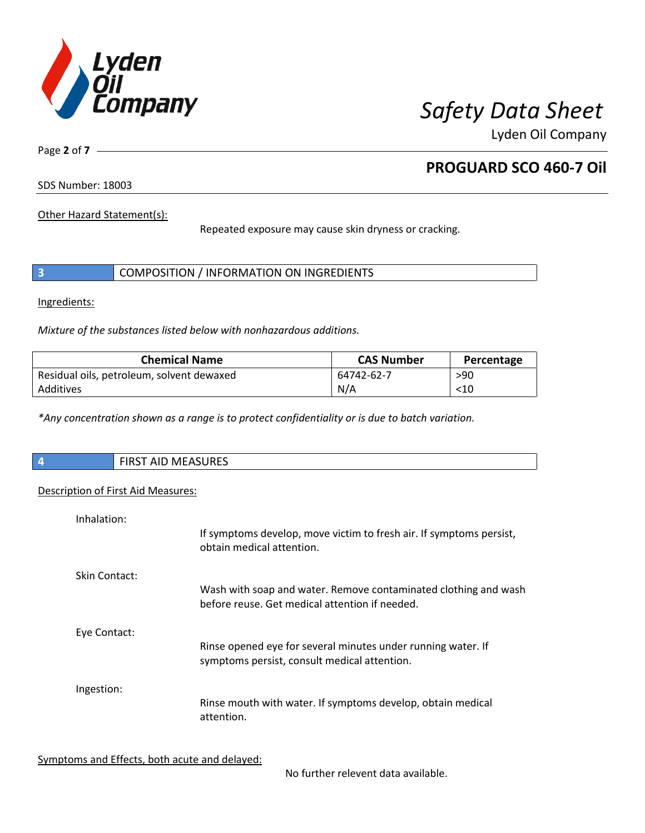

Lyden Oil Company

Page **2** of **7**

# **PROGUARD SCO 460-7 Oil**

SDS Number: 18003

Other Hazard Statement(s):

Repeated exposure may cause skin dryness or cracking.

|  | COMPOSITION / INFORMATION ON INGREDIENTS |
|--|------------------------------------------|
|--|------------------------------------------|

Ingredients:

*Mixture of the substances listed below with nonhazardous additions.*

| <b>Chemical Name</b>                      | <b>CAS Number</b> | Percentage |
|-------------------------------------------|-------------------|------------|
| Residual oils, petroleum, solvent dewaxed | 64742-62-7        | >90        |
| Additives                                 | N/A               | $<$ 10     |

*\*Any concentration shown as a range is to protect confidentiality or is due to batch variation.*

| $\vert$ 4 | <b>MACACLIDEC</b><br>F R R<br><b>I AID MEASURES</b><br> |
|-----------|---------------------------------------------------------|
|           |                                                         |

### Description of First Aid Measures:

| Inhalation:   | If symptoms develop, move victim to fresh air. If symptoms persist,<br>obtain medical attention.                  |
|---------------|-------------------------------------------------------------------------------------------------------------------|
| Skin Contact: | Wash with soap and water. Remove contaminated clothing and wash<br>before reuse. Get medical attention if needed. |
| Eye Contact:  | Rinse opened eye for several minutes under running water. If<br>symptoms persist, consult medical attention.      |
| Ingestion:    | Rinse mouth with water. If symptoms develop, obtain medical<br>attention.                                         |

Symptoms and Effects, both acute and delayed:

No further relevent data available.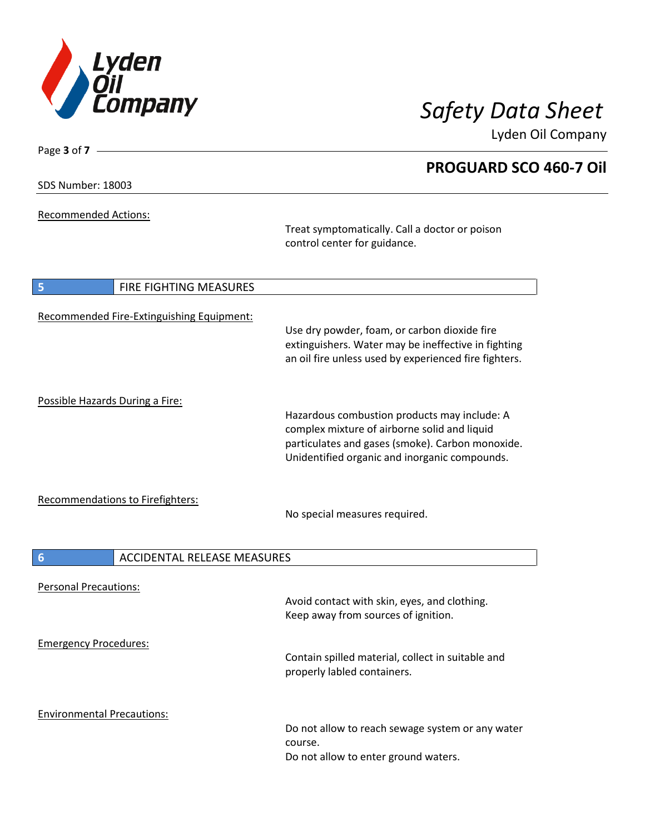

**PROGUARD SCO 460-7 Oil**

Lyden Oil Company

| SDS Number: 18003 |  |
|-------------------|--|
|-------------------|--|

Page **3** of **7**

Recommended Actions:

Treat symptomatically. Call a doctor or poison control center for guidance.

| <b>FIRE FIGHTING MEASURES</b><br>5                    |                                                                                                                                                                                                   |
|-------------------------------------------------------|---------------------------------------------------------------------------------------------------------------------------------------------------------------------------------------------------|
| Recommended Fire-Extinguishing Equipment:             | Use dry powder, foam, or carbon dioxide fire<br>extinguishers. Water may be ineffective in fighting<br>an oil fire unless used by experienced fire fighters.                                      |
| Possible Hazards During a Fire:                       | Hazardous combustion products may include: A<br>complex mixture of airborne solid and liquid<br>particulates and gases (smoke). Carbon monoxide.<br>Unidentified organic and inorganic compounds. |
| <b>Recommendations to Firefighters:</b>               | No special measures required.                                                                                                                                                                     |
| $6\phantom{1}6$<br><b>ACCIDENTAL RELEASE MEASURES</b> |                                                                                                                                                                                                   |
| <b>Personal Precautions:</b>                          | Avoid contact with skin, eyes, and clothing.<br>Keep away from sources of ignition.                                                                                                               |
| <b>Emergency Procedures:</b>                          | Contain spilled material, collect in suitable and<br>properly labled containers.                                                                                                                  |
| <b>Environmental Precautions:</b>                     | Do not allow to reach sewage system or any water<br>course.<br>Do not allow to enter ground waters.                                                                                               |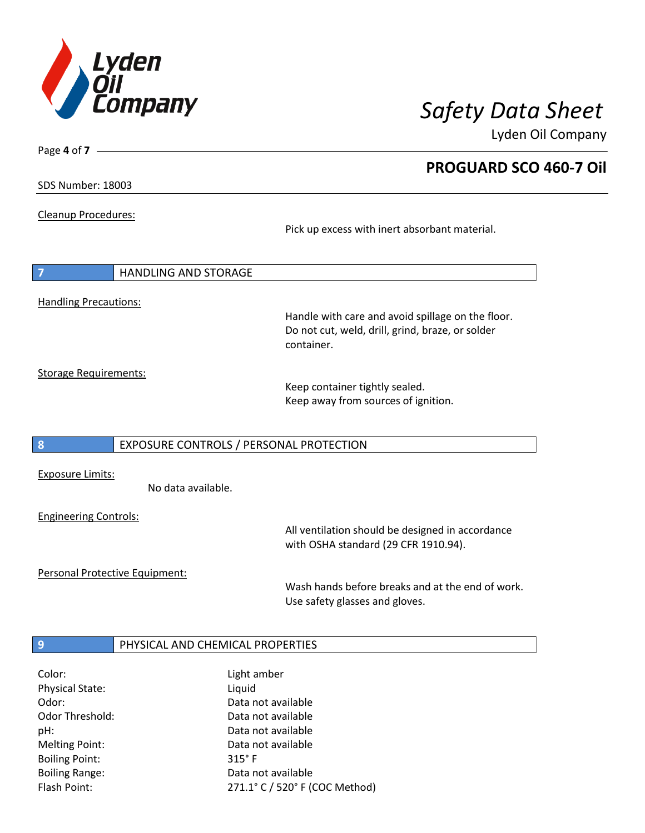

**PROGUARD SCO 460-7 Oil**

Lyden Oil Company

SDS Number: 18003

Page **4** of **7**

Cleanup Procedures:

Pick up excess with inert absorbant material.

|                              | <b>HANDLING AND STORAGE</b> |                                                                                                                     |
|------------------------------|-----------------------------|---------------------------------------------------------------------------------------------------------------------|
| <b>Handling Precautions:</b> |                             | Handle with care and avoid spillage on the floor.<br>Do not cut, weld, drill, grind, braze, or solder<br>container. |
| Storage Requirements:        |                             |                                                                                                                     |

Storage Requirements:

Keep container tightly sealed. Keep away from sources of ignition.

### **8** EXPOSURE CONTROLS / PERSONAL PROTECTION

Exposure Limits:

No data available.

Engineering Controls:

All ventilation should be designed in accordance with OSHA standard (29 CFR 1910.94).

Personal Protective Equipment:

Wash hands before breaks and at the end of work. Use safety glasses and gloves.

### **9 PHYSICAL AND CHEMICAL PROPERTIES**

| Color:                 | Light amber                    |
|------------------------|--------------------------------|
| <b>Physical State:</b> | Liquid                         |
| Odor:                  | Data not available             |
| <b>Odor Threshold:</b> | Data not available             |
| pH:                    | Data not available             |
| <b>Melting Point:</b>  | Data not available             |
| <b>Boiling Point:</b>  | $315^\circ$ F                  |
| <b>Boiling Range:</b>  | Data not available             |
| Flash Point:           | 271.1° C / 520° F (COC Method) |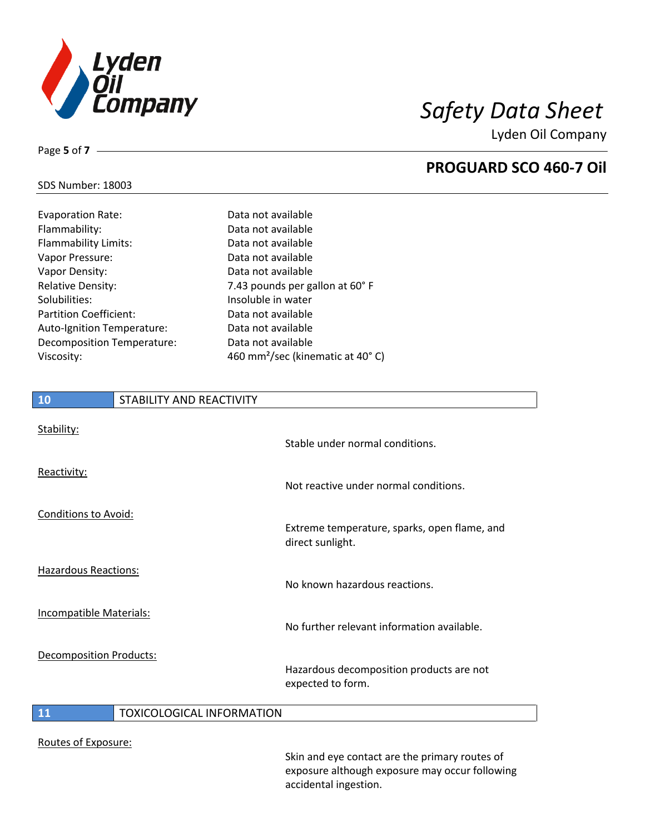

**PROGUARD SCO 460-7 Oil**

Lyden Oil Company

### SDS Number: 18003

Page **5** of **7**

| <b>Evaporation Rate:</b>      | Data not available                           |
|-------------------------------|----------------------------------------------|
| Flammability:                 | Data not available                           |
| <b>Flammability Limits:</b>   | Data not available                           |
| Vapor Pressure:               | Data not available                           |
| Vapor Density:                | Data not available                           |
| <b>Relative Density:</b>      | 7.43 pounds per gallon at 60° F              |
| Solubilities:                 | Insoluble in water                           |
| <b>Partition Coefficient:</b> | Data not available                           |
| Auto-Ignition Temperature:    | Data not available                           |
| Decomposition Temperature:    | Data not available                           |
| Viscosity:                    | 460 mm <sup>2</sup> /sec (kinematic at 40°C) |

# **10** STABILITY AND REACTIVITY Stability: Stable under normal conditions. Reactivity: Not reactive under normal conditions. Conditions to Avoid: Extreme temperature, sparks, open flame, and direct sunlight. Hazardous Reactions: No known hazardous reactions. Incompatible Materials: No further relevant information available. Decomposition Products: Hazardous decomposition products are not expected to form. **11** TOXICOLOGICAL INFORMATION

Routes of Exposure:

Skin and eye contact are the primary routes of exposure although exposure may occur following accidental ingestion.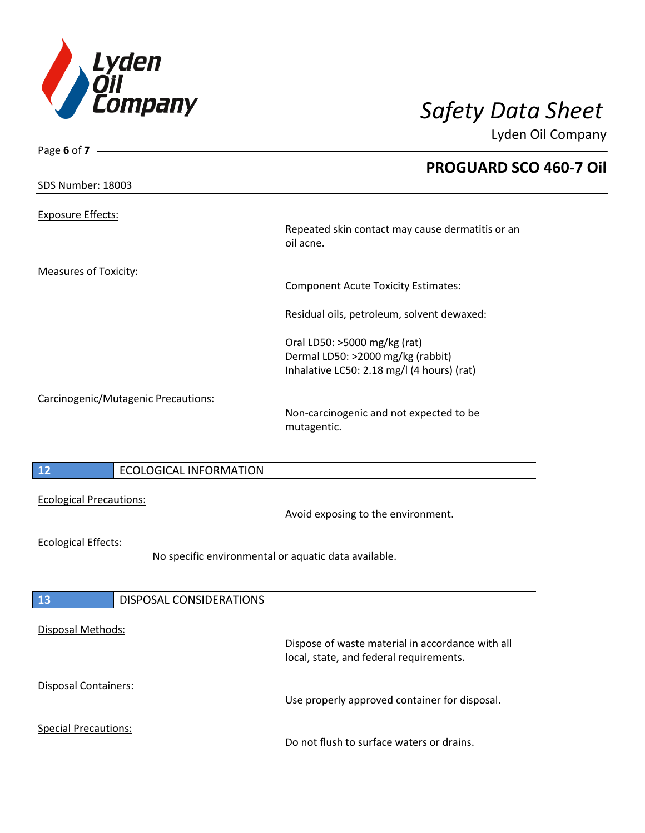

Special Precautions:

Lyden Oil Company

| Page 6 of $7 -$                     |                                                      |                                                               |
|-------------------------------------|------------------------------------------------------|---------------------------------------------------------------|
|                                     |                                                      | <b>PROGUARD SCO 460-7 Oil</b>                                 |
| SDS Number: 18003                   |                                                      |                                                               |
|                                     |                                                      |                                                               |
| <b>Exposure Effects:</b>            |                                                      |                                                               |
|                                     |                                                      | Repeated skin contact may cause dermatitis or an<br>oil acne. |
|                                     |                                                      |                                                               |
| <b>Measures of Toxicity:</b>        |                                                      |                                                               |
|                                     |                                                      | <b>Component Acute Toxicity Estimates:</b>                    |
|                                     |                                                      | Residual oils, petroleum, solvent dewaxed:                    |
|                                     |                                                      | Oral LD50: >5000 mg/kg (rat)                                  |
|                                     |                                                      | Dermal LD50: >2000 mg/kg (rabbit)                             |
|                                     |                                                      | Inhalative LC50: 2.18 mg/l (4 hours) (rat)                    |
| Carcinogenic/Mutagenic Precautions: |                                                      |                                                               |
|                                     |                                                      | Non-carcinogenic and not expected to be                       |
|                                     |                                                      | mutagentic.                                                   |
|                                     |                                                      |                                                               |
| 12                                  | <b>ECOLOGICAL INFORMATION</b>                        |                                                               |
|                                     |                                                      |                                                               |
| <b>Ecological Precautions:</b>      |                                                      |                                                               |
|                                     |                                                      | Avoid exposing to the environment.                            |
| <b>Ecological Effects:</b>          |                                                      |                                                               |
|                                     | No specific environmental or aquatic data available. |                                                               |
|                                     |                                                      |                                                               |
| 13                                  | <b>DISPOSAL CONSIDERATIONS</b>                       |                                                               |
|                                     |                                                      |                                                               |
| Disposal Methods:                   |                                                      |                                                               |
|                                     |                                                      | Dispose of waste material in accordance with all              |
|                                     |                                                      | local, state, and federal requirements.                       |
| <b>Disposal Containers:</b>         |                                                      |                                                               |
|                                     |                                                      | Use properly approved container for disposal.                 |
|                                     |                                                      |                                                               |

Do not flush to surface waters or drains.